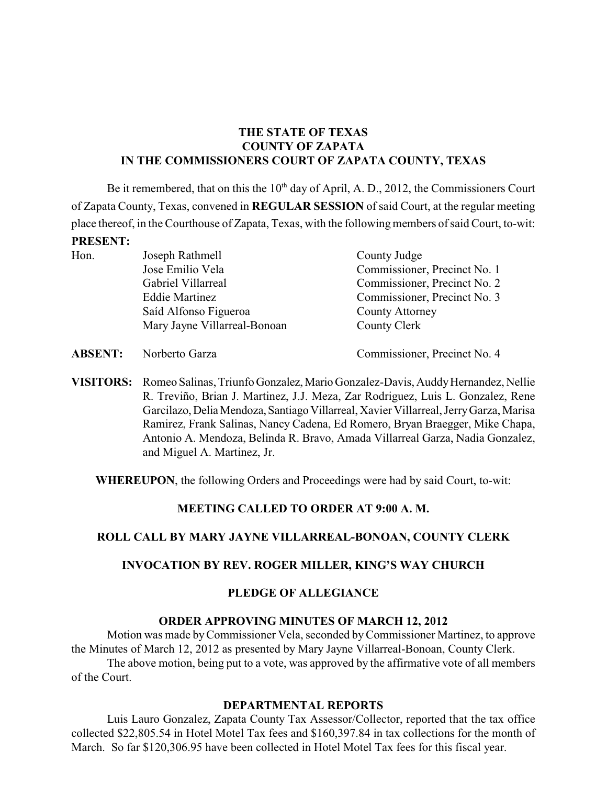# **THE STATE OF TEXAS COUNTY OF ZAPATA IN THE COMMISSIONERS COURT OF ZAPATA COUNTY, TEXAS**

Be it remembered, that on this the  $10<sup>th</sup>$  day of April, A. D., 2012, the Commissioners Court of Zapata County, Texas, convened in **REGULAR SESSION** of said Court, at the regular meeting place thereof, in the Courthouse of Zapata, Texas, with the following members of said Court, to-wit: **PRESENT:**

Hon. Joseph Rathmell County Judge Jose Emilio Vela Commissioner, Precinct No. 1 Gabriel Villarreal Commissioner, Precinct No. 2 Eddie Martinez Commissioner, Precinct No. 3 Saíd Alfonso Figueroa County Attorney Mary Jayne Villarreal-Bonoan County Clerk

**ABSENT:** Norberto Garza Commissioner, Precinct No. 4

**VISITORS:** Romeo Salinas, Triunfo Gonzalez, Mario Gonzalez-Davis, Auddy Hernandez, Nellie R. Treviño, Brian J. Martinez, J.J. Meza, Zar Rodriguez, Luis L. Gonzalez, Rene Garcilazo, Delia Mendoza, Santiago Villarreal, Xavier Villarreal, Jerry Garza, Marisa Ramirez, Frank Salinas, Nancy Cadena, Ed Romero, Bryan Braegger, Mike Chapa, Antonio A. Mendoza, Belinda R. Bravo, Amada Villarreal Garza, Nadia Gonzalez, and Miguel A. Martinez, Jr.

**WHEREUPON**, the following Orders and Proceedings were had by said Court, to-wit:

# **MEETING CALLED TO ORDER AT 9:00 A. M.**

# **ROLL CALL BY MARY JAYNE VILLARREAL-BONOAN, COUNTY CLERK**

# **INVOCATION BY REV. ROGER MILLER, KING'S WAY CHURCH**

# **PLEDGE OF ALLEGIANCE**

# **ORDER APPROVING MINUTES OF MARCH 12, 2012**

Motion was made by Commissioner Vela, seconded byCommissioner Martinez, to approve the Minutes of March 12, 2012 as presented by Mary Jayne Villarreal-Bonoan, County Clerk. The above motion, being put to a vote, was approved by the affirmative vote of all members

of the Court.

# **DEPARTMENTAL REPORTS**

Luis Lauro Gonzalez, Zapata County Tax Assessor/Collector, reported that the tax office collected \$22,805.54 in Hotel Motel Tax fees and \$160,397.84 in tax collections for the month of March. So far \$120,306.95 have been collected in Hotel Motel Tax fees for this fiscal year.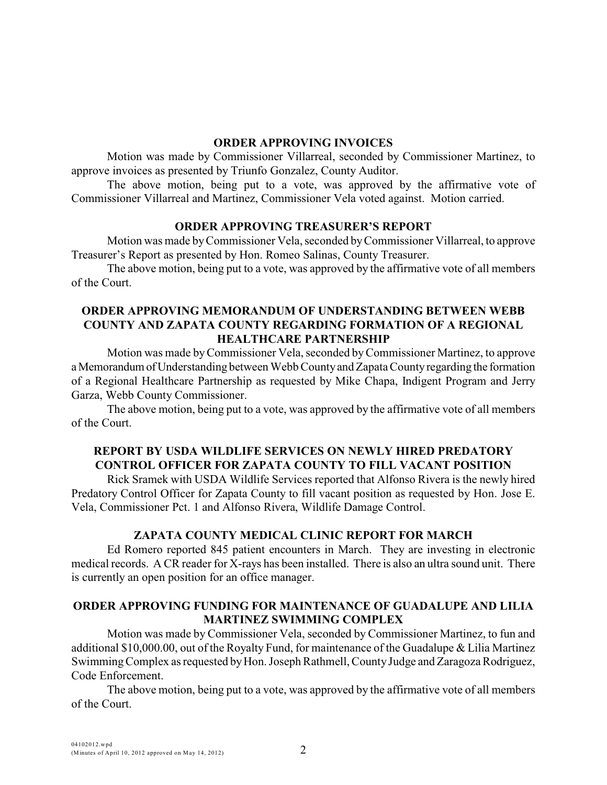#### **ORDER APPROVING INVOICES**

Motion was made by Commissioner Villarreal, seconded by Commissioner Martinez, to approve invoices as presented by Triunfo Gonzalez, County Auditor.

The above motion, being put to a vote, was approved by the affirmative vote of Commissioner Villarreal and Martinez, Commissioner Vela voted against. Motion carried.

#### **ORDER APPROVING TREASURER'S REPORT**

Motion was made by Commissioner Vela, seconded byCommissioner Villarreal, to approve Treasurer's Report as presented by Hon. Romeo Salinas, County Treasurer.

The above motion, being put to a vote, was approved by the affirmative vote of all members of the Court.

### **ORDER APPROVING MEMORANDUM OF UNDERSTANDING BETWEEN WEBB COUNTY AND ZAPATA COUNTY REGARDING FORMATION OF A REGIONAL HEALTHCARE PARTNERSHIP**

Motion was made byCommissioner Vela, seconded byCommissioner Martinez, to approve a Memorandum of Understanding between Webb County and Zapata County regarding the formation of a Regional Healthcare Partnership as requested by Mike Chapa, Indigent Program and Jerry Garza, Webb County Commissioner.

The above motion, being put to a vote, was approved by the affirmative vote of all members of the Court.

# **REPORT BY USDA WILDLIFE SERVICES ON NEWLY HIRED PREDATORY CONTROL OFFICER FOR ZAPATA COUNTY TO FILL VACANT POSITION**

Rick Sramek with USDA Wildlife Services reported that Alfonso Rivera is the newly hired Predatory Control Officer for Zapata County to fill vacant position as requested by Hon. Jose E. Vela, Commissioner Pct. 1 and Alfonso Rivera, Wildlife Damage Control.

#### **ZAPATA COUNTY MEDICAL CLINIC REPORT FOR MARCH**

Ed Romero reported 845 patient encounters in March. They are investing in electronic medical records. A CR reader for X-rays has been installed. There is also an ultra sound unit. There is currently an open position for an office manager.

### **ORDER APPROVING FUNDING FOR MAINTENANCE OF GUADALUPE AND LILIA MARTINEZ SWIMMING COMPLEX**

Motion was made by Commissioner Vela, seconded by Commissioner Martinez, to fun and additional \$10,000.00, out of the Royalty Fund, for maintenance of the Guadalupe & Lilia Martinez Swimming Complex as requested by Hon. Joseph Rathmell, County Judge and Zaragoza Rodriguez, Code Enforcement.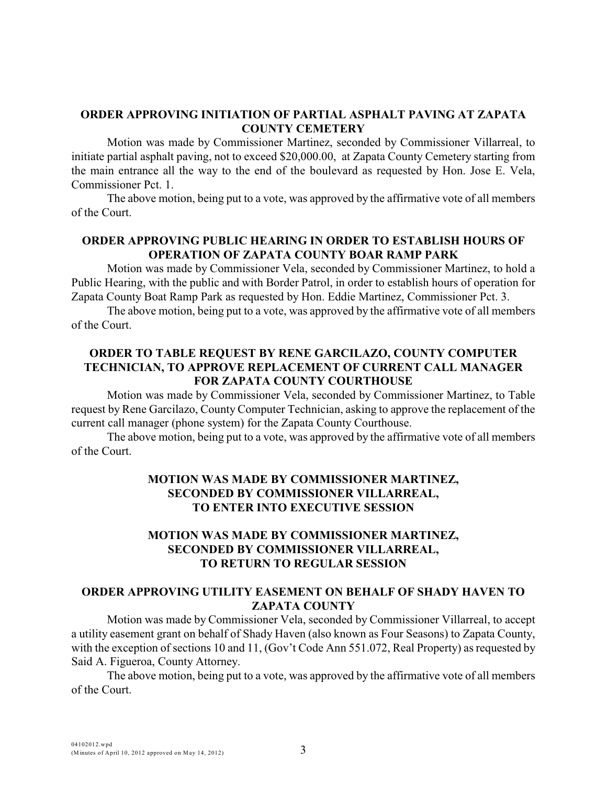### **ORDER APPROVING INITIATION OF PARTIAL ASPHALT PAVING AT ZAPATA COUNTY CEMETERY**

Motion was made by Commissioner Martinez, seconded by Commissioner Villarreal, to initiate partial asphalt paving, not to exceed \$20,000.00, at Zapata County Cemetery starting from the main entrance all the way to the end of the boulevard as requested by Hon. Jose E. Vela, Commissioner Pct. 1.

The above motion, being put to a vote, was approved by the affirmative vote of all members of the Court.

# **ORDER APPROVING PUBLIC HEARING IN ORDER TO ESTABLISH HOURS OF OPERATION OF ZAPATA COUNTY BOAR RAMP PARK**

Motion was made by Commissioner Vela, seconded by Commissioner Martinez, to hold a Public Hearing, with the public and with Border Patrol, in order to establish hours of operation for Zapata County Boat Ramp Park as requested by Hon. Eddie Martinez, Commissioner Pct. 3.

The above motion, being put to a vote, was approved by the affirmative vote of all members of the Court.

## **ORDER TO TABLE REQUEST BY RENE GARCILAZO, COUNTY COMPUTER TECHNICIAN, TO APPROVE REPLACEMENT OF CURRENT CALL MANAGER FOR ZAPATA COUNTY COURTHOUSE**

Motion was made by Commissioner Vela, seconded by Commissioner Martinez, to Table request by Rene Garcilazo, County Computer Technician, asking to approve the replacement of the current call manager (phone system) for the Zapata County Courthouse.

The above motion, being put to a vote, was approved by the affirmative vote of all members of the Court.

# **MOTION WAS MADE BY COMMISSIONER MARTINEZ, SECONDED BY COMMISSIONER VILLARREAL, TO ENTER INTO EXECUTIVE SESSION**

## **MOTION WAS MADE BY COMMISSIONER MARTINEZ, SECONDED BY COMMISSIONER VILLARREAL, TO RETURN TO REGULAR SESSION**

### **ORDER APPROVING UTILITY EASEMENT ON BEHALF OF SHADY HAVEN TO ZAPATA COUNTY**

Motion was made by Commissioner Vela, seconded by Commissioner Villarreal, to accept a utility easement grant on behalf of Shady Haven (also known as Four Seasons) to Zapata County, with the exception of sections 10 and 11, (Gov't Code Ann 551.072, Real Property) as requested by Said A. Figueroa, County Attorney.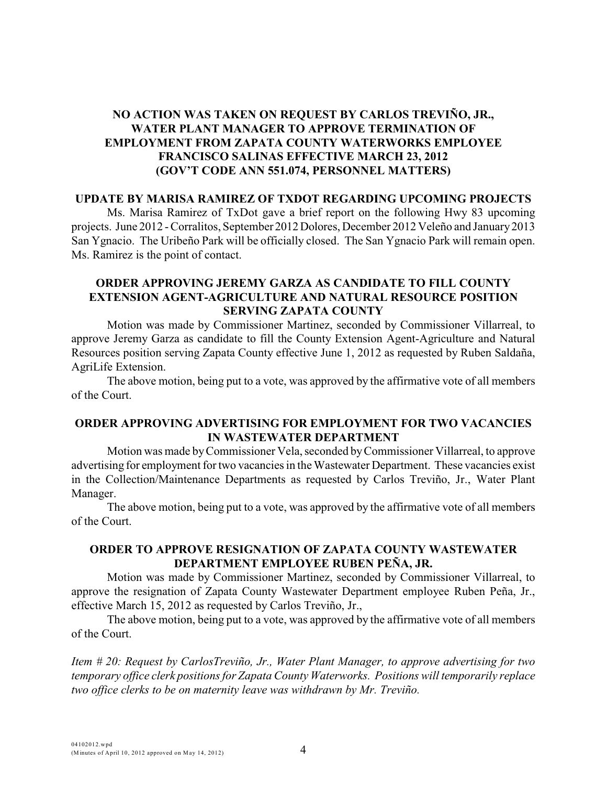# **NO ACTION WAS TAKEN ON REQUEST BY CARLOS TREVIÑO, JR., WATER PLANT MANAGER TO APPROVE TERMINATION OF EMPLOYMENT FROM ZAPATA COUNTY WATERWORKS EMPLOYEE FRANCISCO SALINAS EFFECTIVE MARCH 23, 2012 (GOV'T CODE ANN 551.074, PERSONNEL MATTERS)**

### **UPDATE BY MARISA RAMIREZ OF TXDOT REGARDING UPCOMING PROJECTS**

Ms. Marisa Ramirez of TxDot gave a brief report on the following Hwy 83 upcoming projects. June 2012 - Corralitos, September 2012 Dolores, December 2012 Veleño and January 2013 San Ygnacio. The Uribeño Park will be officially closed. The San Ygnacio Park will remain open. Ms. Ramirez is the point of contact.

### **ORDER APPROVING JEREMY GARZA AS CANDIDATE TO FILL COUNTY EXTENSION AGENT-AGRICULTURE AND NATURAL RESOURCE POSITION SERVING ZAPATA COUNTY**

Motion was made by Commissioner Martinez, seconded by Commissioner Villarreal, to approve Jeremy Garza as candidate to fill the County Extension Agent-Agriculture and Natural Resources position serving Zapata County effective June 1, 2012 as requested by Ruben Saldaña, AgriLife Extension.

The above motion, being put to a vote, was approved by the affirmative vote of all members of the Court.

# **ORDER APPROVING ADVERTISING FOR EMPLOYMENT FOR TWO VACANCIES IN WASTEWATER DEPARTMENT**

Motion was made by Commissioner Vela, seconded byCommissioner Villarreal, to approve advertising for employment for two vacancies in the Wastewater Department. These vacancies exist in the Collection/Maintenance Departments as requested by Carlos Treviño, Jr., Water Plant Manager.

The above motion, being put to a vote, was approved by the affirmative vote of all members of the Court.

# **ORDER TO APPROVE RESIGNATION OF ZAPATA COUNTY WASTEWATER DEPARTMENT EMPLOYEE RUBEN PEÑA, JR.**

Motion was made by Commissioner Martinez, seconded by Commissioner Villarreal, to approve the resignation of Zapata County Wastewater Department employee Ruben Peña, Jr., effective March 15, 2012 as requested by Carlos Treviño, Jr.,

The above motion, being put to a vote, was approved by the affirmative vote of all members of the Court.

*Item # 20: Request by CarlosTreviño, Jr., Water Plant Manager, to approve advertising for two temporary office clerk positions for Zapata County Waterworks. Positions will temporarily replace two office clerks to be on maternity leave was withdrawn by Mr. Treviño.*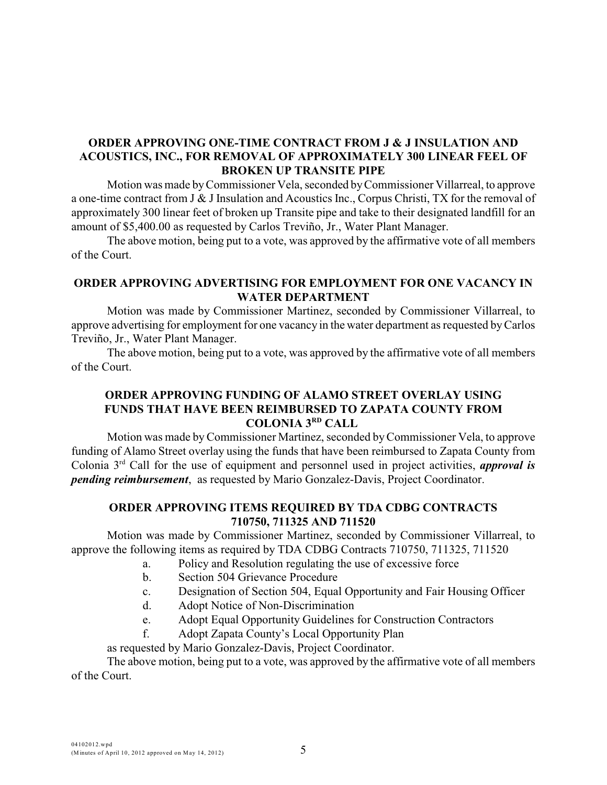# **ORDER APPROVING ONE-TIME CONTRACT FROM J & J INSULATION AND ACOUSTICS, INC., FOR REMOVAL OF APPROXIMATELY 300 LINEAR FEEL OF BROKEN UP TRANSITE PIPE**

Motion was made byCommissioner Vela, seconded by Commissioner Villarreal, to approve a one-time contract from J & J Insulation and Acoustics Inc., Corpus Christi, TX for the removal of approximately 300 linear feet of broken up Transite pipe and take to their designated landfill for an amount of \$5,400.00 as requested by Carlos Treviño, Jr., Water Plant Manager.

The above motion, being put to a vote, was approved by the affirmative vote of all members of the Court.

### **ORDER APPROVING ADVERTISING FOR EMPLOYMENT FOR ONE VACANCY IN WATER DEPARTMENT**

Motion was made by Commissioner Martinez, seconded by Commissioner Villarreal, to approve advertising for employment for one vacancy in the water department as requested by Carlos Treviño, Jr., Water Plant Manager.

The above motion, being put to a vote, was approved by the affirmative vote of all members of the Court.

## **ORDER APPROVING FUNDING OF ALAMO STREET OVERLAY USING FUNDS THAT HAVE BEEN REIMBURSED TO ZAPATA COUNTY FROM COLONIA 3RD CALL**

Motion was made byCommissioner Martinez, seconded by Commissioner Vela, to approve funding of Alamo Street overlay using the funds that have been reimbursed to Zapata County from Colonia  $3<sup>rd</sup>$  Call for the use of equipment and personnel used in project activities, *approval is pending reimbursement*, as requested by Mario Gonzalez-Davis, Project Coordinator.

# **ORDER APPROVING ITEMS REQUIRED BY TDA CDBG CONTRACTS 710750, 711325 AND 711520**

Motion was made by Commissioner Martinez, seconded by Commissioner Villarreal, to approve the following items as required by TDA CDBG Contracts 710750, 711325, 711520

- a. Policy and Resolution regulating the use of excessive force
- b. Section 504 Grievance Procedure
- c. Designation of Section 504, Equal Opportunity and Fair Housing Officer
- d. Adopt Notice of Non-Discrimination
- e. Adopt Equal Opportunity Guidelines for Construction Contractors
- f. Adopt Zapata County's Local Opportunity Plan

as requested by Mario Gonzalez-Davis, Project Coordinator.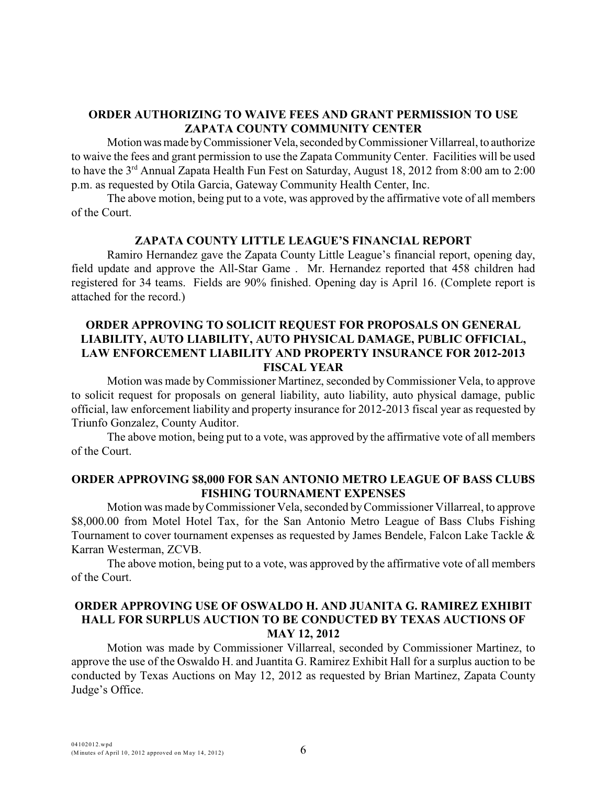## **ORDER AUTHORIZING TO WAIVE FEES AND GRANT PERMISSION TO USE ZAPATA COUNTY COMMUNITY CENTER**

Motion was made by Commissioner Vela, seconded by Commissioner Villarreal, to authorize to waive the fees and grant permission to use the Zapata Community Center. Facilities will be used to have the  $3<sup>rd</sup>$  Annual Zapata Health Fun Fest on Saturday, August 18, 2012 from 8:00 am to 2:00 p.m. as requested by Otila Garcia, Gateway Community Health Center, Inc.

The above motion, being put to a vote, was approved by the affirmative vote of all members of the Court.

#### **ZAPATA COUNTY LITTLE LEAGUE'S FINANCIAL REPORT**

Ramiro Hernandez gave the Zapata County Little League's financial report, opening day, field update and approve the All-Star Game . Mr. Hernandez reported that 458 children had registered for 34 teams. Fields are 90% finished. Opening day is April 16. (Complete report is attached for the record.)

## **ORDER APPROVING TO SOLICIT REQUEST FOR PROPOSALS ON GENERAL LIABILITY, AUTO LIABILITY, AUTO PHYSICAL DAMAGE, PUBLIC OFFICIAL, LAW ENFORCEMENT LIABILITY AND PROPERTY INSURANCE FOR 2012-2013 FISCAL YEAR**

Motion was made byCommissioner Martinez, seconded byCommissioner Vela, to approve to solicit request for proposals on general liability, auto liability, auto physical damage, public official, law enforcement liability and property insurance for 2012-2013 fiscal year as requested by Triunfo Gonzalez, County Auditor.

The above motion, being put to a vote, was approved by the affirmative vote of all members of the Court.

#### **ORDER APPROVING \$8,000 FOR SAN ANTONIO METRO LEAGUE OF BASS CLUBS FISHING TOURNAMENT EXPENSES**

Motion was made byCommissioner Vela, seconded byCommissioner Villarreal, to approve \$8,000.00 from Motel Hotel Tax, for the San Antonio Metro League of Bass Clubs Fishing Tournament to cover tournament expenses as requested by James Bendele, Falcon Lake Tackle & Karran Westerman, ZCVB.

The above motion, being put to a vote, was approved by the affirmative vote of all members of the Court.

### **ORDER APPROVING USE OF OSWALDO H. AND JUANITA G. RAMIREZ EXHIBIT HALL FOR SURPLUS AUCTION TO BE CONDUCTED BY TEXAS AUCTIONS OF MAY 12, 2012**

Motion was made by Commissioner Villarreal, seconded by Commissioner Martinez, to approve the use of the Oswaldo H. and Juantita G. Ramirez Exhibit Hall for a surplus auction to be conducted by Texas Auctions on May 12, 2012 as requested by Brian Martinez, Zapata County Judge's Office.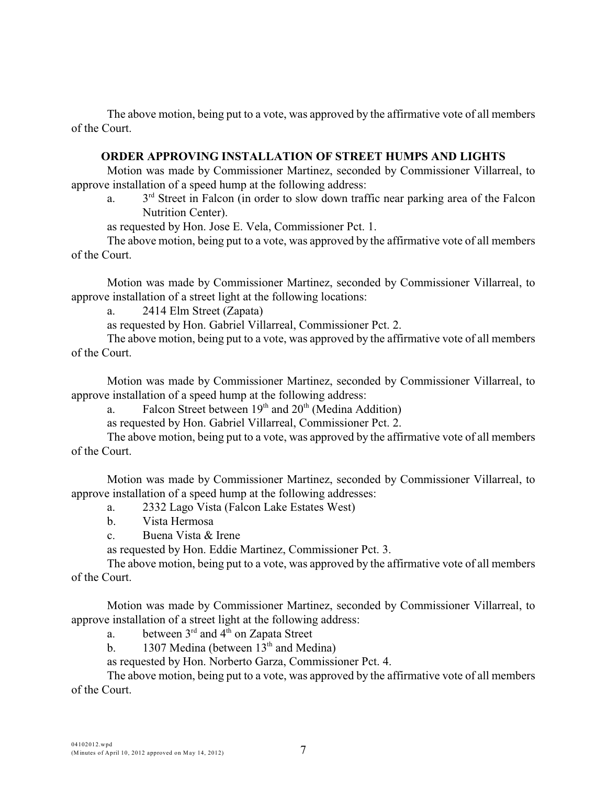The above motion, being put to a vote, was approved by the affirmative vote of all members of the Court.

### **ORDER APPROVING INSTALLATION OF STREET HUMPS AND LIGHTS**

Motion was made by Commissioner Martinez, seconded by Commissioner Villarreal, to approve installation of a speed hump at the following address:

a.  $3<sup>rd</sup>$  Street in Falcon (in order to slow down traffic near parking area of the Falcon Nutrition Center).

as requested by Hon. Jose E. Vela, Commissioner Pct. 1.

The above motion, being put to a vote, was approved by the affirmative vote of all members of the Court.

Motion was made by Commissioner Martinez, seconded by Commissioner Villarreal, to approve installation of a street light at the following locations:

a. 2414 Elm Street (Zapata)

as requested by Hon. Gabriel Villarreal, Commissioner Pct. 2.

The above motion, being put to a vote, was approved by the affirmative vote of all members of the Court.

Motion was made by Commissioner Martinez, seconded by Commissioner Villarreal, to approve installation of a speed hump at the following address:

a. Falcon Street between  $19<sup>th</sup>$  and  $20<sup>th</sup>$  (Medina Addition)

as requested by Hon. Gabriel Villarreal, Commissioner Pct. 2.

The above motion, being put to a vote, was approved by the affirmative vote of all members of the Court.

Motion was made by Commissioner Martinez, seconded by Commissioner Villarreal, to approve installation of a speed hump at the following addresses:

a. 2332 Lago Vista (Falcon Lake Estates West)

b. Vista Hermosa

c. Buena Vista & Irene

as requested by Hon. Eddie Martinez, Commissioner Pct. 3.

The above motion, being put to a vote, was approved by the affirmative vote of all members of the Court.

Motion was made by Commissioner Martinez, seconded by Commissioner Villarreal, to approve installation of a street light at the following address:

a. between  $3<sup>rd</sup>$  and  $4<sup>th</sup>$  on Zapata Street

b. 1307 Medina (between  $13<sup>th</sup>$  and Medina)

as requested by Hon. Norberto Garza, Commissioner Pct. 4.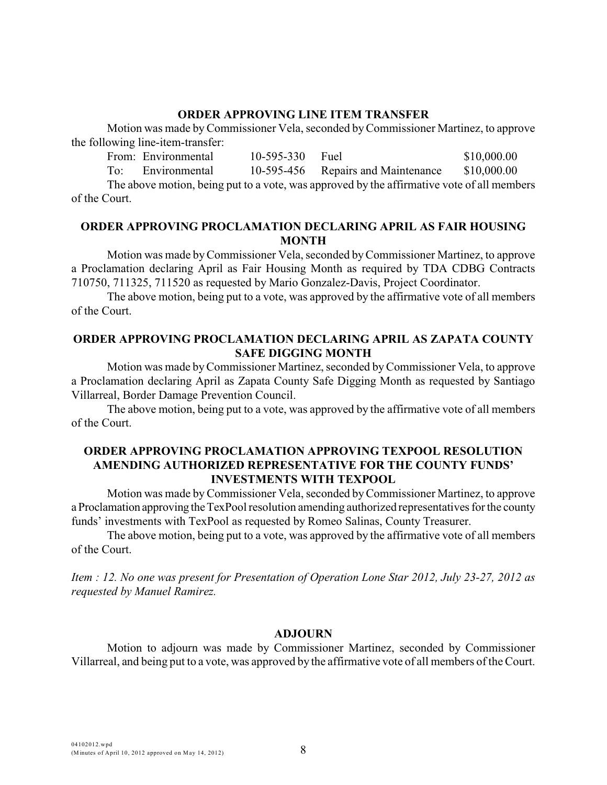### **ORDER APPROVING LINE ITEM TRANSFER**

Motion was made byCommissioner Vela, seconded by Commissioner Martinez, to approve the following line-item-transfer:

From: Environmental 10-595-330 Fuel \$10,000.00 To: Environmental 10-595-456 Repairs and Maintenance \$10,000.00 The above motion, being put to a vote, was approved by the affirmative vote of all members of the Court.

## **ORDER APPROVING PROCLAMATION DECLARING APRIL AS FAIR HOUSING MONTH**

Motion was made byCommissioner Vela, seconded byCommissioner Martinez, to approve a Proclamation declaring April as Fair Housing Month as required by TDA CDBG Contracts 710750, 711325, 711520 as requested by Mario Gonzalez-Davis, Project Coordinator.

The above motion, being put to a vote, was approved by the affirmative vote of all members of the Court.

### **ORDER APPROVING PROCLAMATION DECLARING APRIL AS ZAPATA COUNTY SAFE DIGGING MONTH**

Motion was made byCommissioner Martinez, seconded by Commissioner Vela, to approve a Proclamation declaring April as Zapata County Safe Digging Month as requested by Santiago Villarreal, Border Damage Prevention Council.

The above motion, being put to a vote, was approved by the affirmative vote of all members of the Court.

### **ORDER APPROVING PROCLAMATION APPROVING TEXPOOL RESOLUTION AMENDING AUTHORIZED REPRESENTATIVE FOR THE COUNTY FUNDS' INVESTMENTS WITH TEXPOOL**

Motion was made byCommissioner Vela, seconded by Commissioner Martinez, to approve a Proclamation approving the TexPool resolution amending authorized representatives for the county funds' investments with TexPool as requested by Romeo Salinas, County Treasurer.

The above motion, being put to a vote, was approved by the affirmative vote of all members of the Court.

*Item : 12. No one was present for Presentation of Operation Lone Star 2012, July 23-27, 2012 as requested by Manuel Ramirez.*

#### **ADJOURN**

Motion to adjourn was made by Commissioner Martinez, seconded by Commissioner Villarreal, and being put to a vote, was approved by the affirmative vote of all members of the Court.